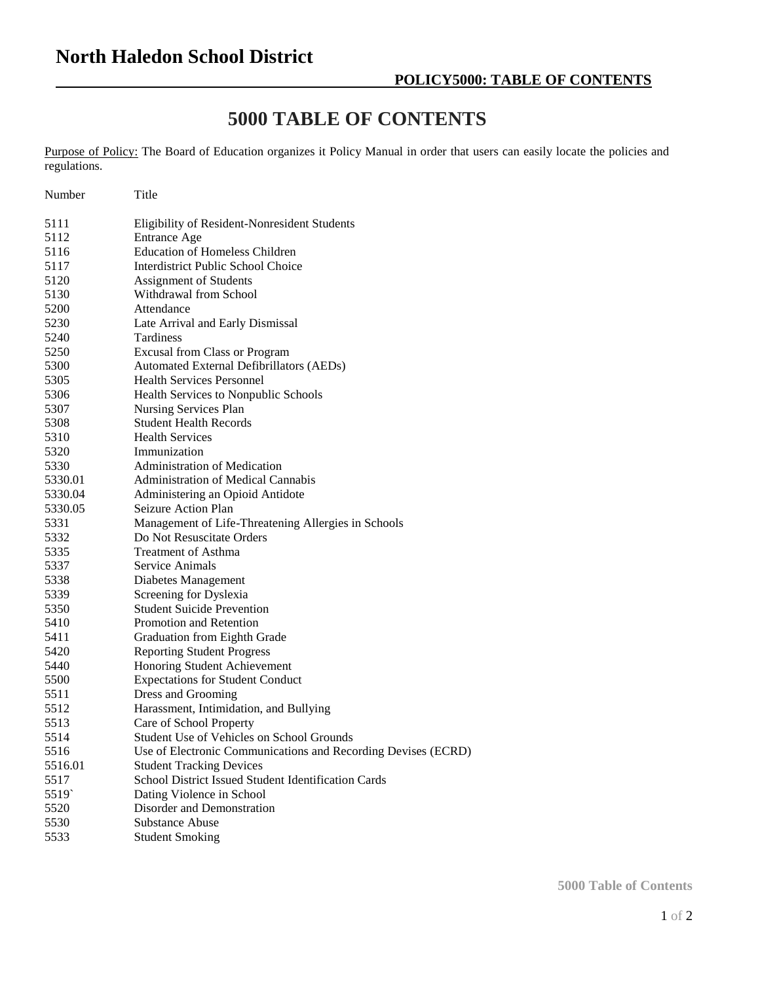## **5000 TABLE OF CONTENTS**

Purpose of Policy: The Board of Education organizes it Policy Manual in order that users can easily locate the policies and regulations.

| Number  | Title                                                         |
|---------|---------------------------------------------------------------|
| 5111    | Eligibility of Resident-Nonresident Students                  |
| 5112    | <b>Entrance Age</b>                                           |
| 5116    | <b>Education of Homeless Children</b>                         |
| 5117    | Interdistrict Public School Choice                            |
| 5120    | Assignment of Students                                        |
| 5130    | Withdrawal from School                                        |
| 5200    | Attendance                                                    |
| 5230    | Late Arrival and Early Dismissal                              |
| 5240    | Tardiness                                                     |
| 5250    | <b>Excusal from Class or Program</b>                          |
| 5300    | Automated External Defibrillators (AEDs)                      |
| 5305    | <b>Health Services Personnel</b>                              |
| 5306    | Health Services to Nonpublic Schools                          |
| 5307    | Nursing Services Plan                                         |
| 5308    | <b>Student Health Records</b>                                 |
| 5310    | <b>Health Services</b>                                        |
| 5320    | Immunization                                                  |
| 5330    | <b>Administration of Medication</b>                           |
| 5330.01 | Administration of Medical Cannabis                            |
| 5330.04 | Administering an Opioid Antidote                              |
| 5330.05 | Seizure Action Plan                                           |
| 5331    | Management of Life-Threatening Allergies in Schools           |
| 5332    | Do Not Resuscitate Orders                                     |
| 5335    | <b>Treatment of Asthma</b>                                    |
| 5337    | Service Animals                                               |
| 5338    | Diabetes Management                                           |
| 5339    | Screening for Dyslexia                                        |
| 5350    | <b>Student Suicide Prevention</b>                             |
| 5410    | Promotion and Retention                                       |
| 5411    | Graduation from Eighth Grade                                  |
| 5420    | <b>Reporting Student Progress</b>                             |
| 5440    | Honoring Student Achievement                                  |
| 5500    | <b>Expectations for Student Conduct</b>                       |
| 5511    | Dress and Grooming                                            |
| 5512    | Harassment, Intimidation, and Bullying                        |
| 5513    | Care of School Property                                       |
| 5514    | Student Use of Vehicles on School Grounds                     |
| 5516    | Use of Electronic Communications and Recording Devises (ECRD) |
| 5516.01 | <b>Student Tracking Devices</b>                               |
| 5517    | School District Issued Student Identification Cards           |
| 5519    | Dating Violence in School                                     |
| 5520    | Disorder and Demonstration                                    |
| 5530    | <b>Substance Abuse</b>                                        |
| 5533    | <b>Student Smoking</b>                                        |

**5000 Table of Contents**